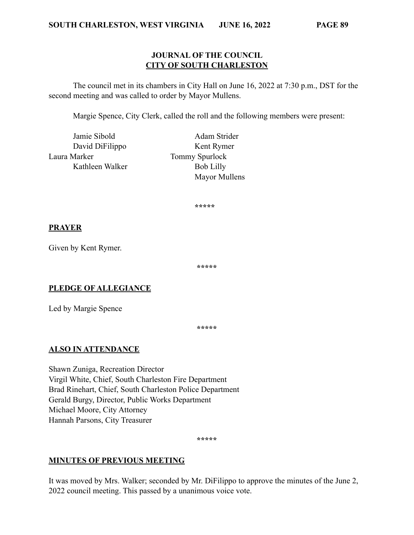#### **JOURNAL OF THE COUNCIL CITY OF SOUTH CHARLESTON**

The council met in its chambers in City Hall on June 16, 2022 at 7:30 p.m., DST for the second meeting and was called to order by Mayor Mullens.

Margie Spence, City Clerk, called the roll and the following members were present:

Jamie Sibold Adam Strider Laura Marker Tommy Spurlock Kathleen Walker Bob Lilly

David DiFilippo Kent Rymer Mayor Mullens

**\*\*\*\*\***

#### **PRAYER**

Given by Kent Rymer.

**\*\*\*\*\***

## **PLEDGE OF ALLEGIANCE**

Led by Margie Spence

**\*\*\*\*\***

## **ALSO IN ATTENDANCE**

Shawn Zuniga, Recreation Director Virgil White, Chief, South Charleston Fire Department Brad Rinehart, Chief, South Charleston Police Department Gerald Burgy, Director, Public Works Department Michael Moore, City Attorney Hannah Parsons, City Treasurer

**\*\*\*\*\***

#### **MINUTES OF PREVIOUS MEETING**

It was moved by Mrs. Walker; seconded by Mr. DiFilippo to approve the minutes of the June 2, 2022 council meeting. This passed by a unanimous voice vote.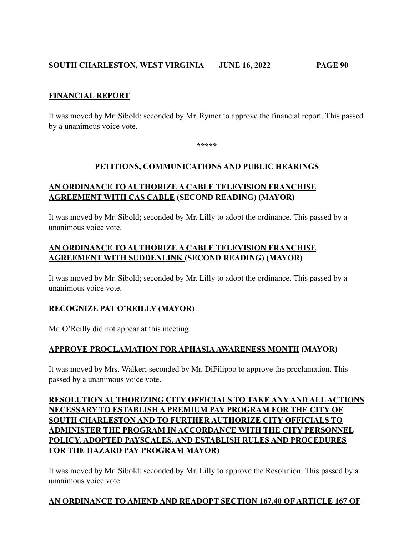## **SOUTH CHARLESTON, WEST VIRGINIA JUNE 16, 2022 PAGE 90**

#### **FINANCIAL REPORT**

It was moved by Mr. Sibold; seconded by Mr. Rymer to approve the financial report. This passed by a unanimous voice vote.

**\*\*\*\*\***

#### **PETITIONS, COMMUNICATIONS AND PUBLIC HEARINGS**

## **AN ORDINANCE TO AUTHORIZE A CABLE TELEVISION FRANCHISE AGREEMENT WITH CAS CABLE (SECOND READING) (MAYOR)**

It was moved by Mr. Sibold; seconded by Mr. Lilly to adopt the ordinance. This passed by a unanimous voice vote.

## **AN ORDINANCE TO AUTHORIZE A CABLE TELEVISION FRANCHISE AGREEMENT WITH SUDDENLINK (SECOND READING) (MAYOR)**

It was moved by Mr. Sibold; seconded by Mr. Lilly to adopt the ordinance. This passed by a unanimous voice vote.

## **RECOGNIZE PAT O'REILLY (MAYOR)**

Mr. O'Reilly did not appear at this meeting.

## **APPROVE PROCLAMATION FOR APHASIA AWARENESS MONTH (MAYOR)**

It was moved by Mrs. Walker; seconded by Mr. DiFilippo to approve the proclamation. This passed by a unanimous voice vote.

# **RESOLUTION AUTHORIZING CITY OFFICIALS TO TAKE ANY AND ALL ACTIONS NECESSARY TO ESTABLISH A PREMIUM PAY PROGRAM FOR THE CITY OF SOUTH CHARLESTON AND TO FURTHER AUTHORIZE CITY OFFICIALS TO ADMINISTER THE PROGRAM IN ACCORDANCE WITH THE CITY PERSONNEL POLICY, ADOPTED PAYSCALES, AND ESTABLISH RULES AND PROCEDURES FOR THE HAZARD PAY PROGRAM MAYOR)**

It was moved by Mr. Sibold; seconded by Mr. Lilly to approve the Resolution. This passed by a unanimous voice vote.

## **AN ORDINANCE TO AMEND AND READOPT SECTION 167.40 OF ARTICLE 167 OF**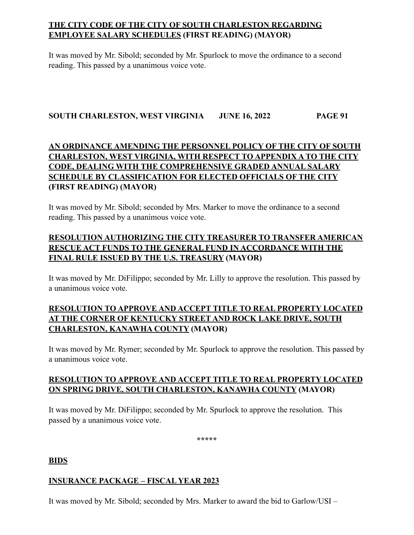# **THE CITY CODE OF THE CITY OF SOUTH CHARLESTON REGARDING EMPLOYEE SALARY SCHEDULES (FIRST READING) (MAYOR)**

It was moved by Mr. Sibold; seconded by Mr. Spurlock to move the ordinance to a second reading. This passed by a unanimous voice vote.

#### **SOUTH CHARLESTON, WEST VIRGINIA JUNE 16, 2022 PAGE 91**

# **AN ORDINANCE AMENDING THE PERSONNEL POLICY OF THE CITY OF SOUTH CHARLESTON, WEST VIRGINIA, WITH RESPECT TO APPENDIX A TO THE CITY CODE, DEALING WITH THE COMPREHENSIVE GRADED ANNUAL SALARY SCHEDULE BY CLASSIFICATION FOR ELECTED OFFICIALS OF THE CITY (FIRST READING) (MAYOR)**

It was moved by Mr. Sibold; seconded by Mrs. Marker to move the ordinance to a second reading. This passed by a unanimous voice vote.

# **RESOLUTION AUTHORIZING THE CITY TREASURER TO TRANSFER AMERICAN RESCUE ACT FUNDS TO THE GENERAL FUND IN ACCORDANCE WITH THE FINAL RULE ISSUED BY THE U.S. TREASURY (MAYOR)**

It was moved by Mr. DiFilippo; seconded by Mr. Lilly to approve the resolution. This passed by a unanimous voice vote.

# **RESOLUTION TO APPROVE AND ACCEPT TITLE TO REAL PROPERTY LOCATED AT THE CORNER OF KENTUCKY STREET AND ROCK LAKE DRIVE, SOUTH CHARLESTON, KANAWHA COUNTY (MAYOR)**

It was moved by Mr. Rymer; seconded by Mr. Spurlock to approve the resolution. This passed by a unanimous voice vote.

## **RESOLUTION TO APPROVE AND ACCEPT TITLE TO REAL PROPERTY LOCATED ON SPRING DRIVE, SOUTH CHARLESTON, KANAWHA COUNTY (MAYOR)**

It was moved by Mr. DiFilippo; seconded by Mr. Spurlock to approve the resolution. This passed by a unanimous voice vote.

**\*\*\*\*\***

**BIDS**

## **INSURANCE PACKAGE – FISCAL YEAR 2023**

It was moved by Mr. Sibold; seconded by Mrs. Marker to award the bid to Garlow/USI –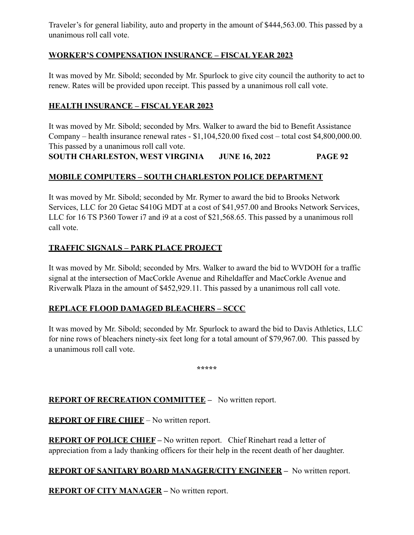Traveler's for general liability, auto and property in the amount of \$444,563.00. This passed by a unanimous roll call vote.

## **WORKER'S COMPENSATION INSURANCE – FISCAL YEAR 2023**

It was moved by Mr. Sibold; seconded by Mr. Spurlock to give city council the authority to act to renew. Rates will be provided upon receipt. This passed by a unanimous roll call vote.

## **HEALTH INSURANCE – FISCAL YEAR 2023**

It was moved by Mr. Sibold; seconded by Mrs. Walker to award the bid to Benefit Assistance Company – health insurance renewal rates - \$1,104,520.00 fixed cost – total cost \$4,800,000.00. This passed by a unanimous roll call vote.

**SOUTH CHARLESTON, WEST VIRGINIA JUNE 16, 2022 PAGE 92**

## **MOBILE COMPUTERS – SOUTH CHARLESTON POLICE DEPARTMENT**

It was moved by Mr. Sibold; seconded by Mr. Rymer to award the bid to Brooks Network Services, LLC for 20 Getac S410G MDT at a cost of \$41,957.00 and Brooks Network Services, LLC for 16 TS P360 Tower i7 and i9 at a cost of \$21,568.65. This passed by a unanimous roll call vote.

## **TRAFFIC SIGNALS – PARK PLACE PROJECT**

It was moved by Mr. Sibold; seconded by Mrs. Walker to award the bid to WVDOH for a traffic signal at the intersection of MacCorkle Avenue and Riheldaffer and MacCorkle Avenue and Riverwalk Plaza in the amount of \$452,929.11. This passed by a unanimous roll call vote.

## **REPLACE FLOOD DAMAGED BLEACHERS – SCCC**

It was moved by Mr. Sibold; seconded by Mr. Spurlock to award the bid to Davis Athletics, LLC for nine rows of bleachers ninety-six feet long for a total amount of \$79,967.00. This passed by a unanimous roll call vote.

**\*\*\*\*\***

## **REPORT OF RECREATION COMMITTEE –** No written report.

**REPORT OF FIRE CHIEF** – No written report.

**REPORT OF POLICE CHIEF –** No written report. Chief Rinehart read a letter of appreciation from a lady thanking officers for their help in the recent death of her daughter.

## **REPORT OF SANITARY BOARD MANAGER/CITY ENGINEER –** No written report.

**REPORT OF CITY MANAGER –** No written report.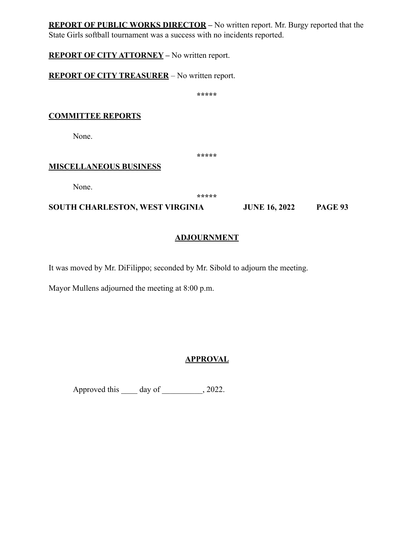**REPORT OF PUBLIC WORKS DIRECTOR –** No written report. Mr. Burgy reported that the State Girls softball tournament was a success with no incidents reported.

**REPORT OF CITY ATTORNEY –** No written report.

**REPORT OF CITY TREASURER** – No written report.

**\*\*\*\*\***

## **COMMITTEE REPORTS**

None.

**\*\*\*\*\***

#### **MISCELLANEOUS BUSINESS**

None.

**\*\*\*\*\***

**SOUTH CHARLESTON, WEST VIRGINIA JUNE 16, 2022 PAGE 93**

## **ADJOURNMENT**

It was moved by Mr. DiFilippo; seconded by Mr. Sibold to adjourn the meeting.

Mayor Mullens adjourned the meeting at 8:00 p.m.

# **APPROVAL**

Approved this day of  $\qquad \qquad$ , 2022.